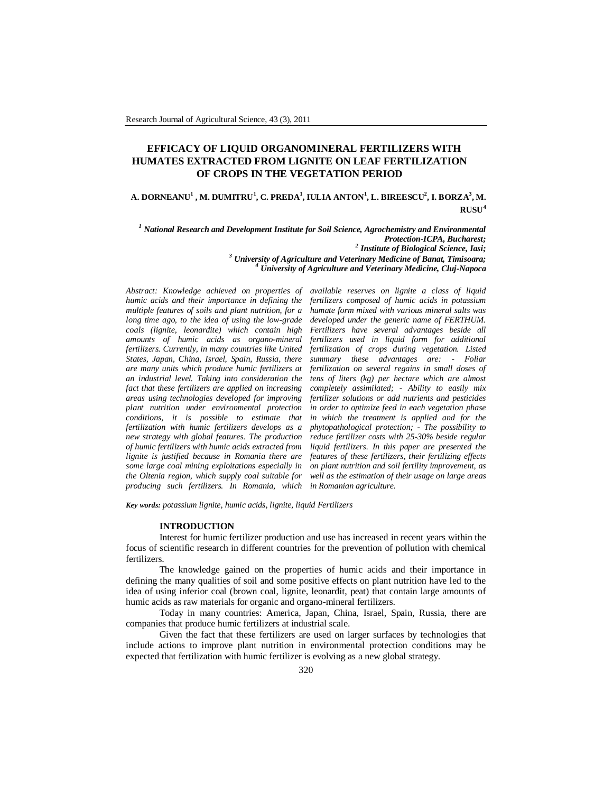# **EFFICACY OF LIQUID ORGANOMINERAL FERTILIZERS WITH HUMATES EXTRACTED FROM LIGNITE ON LEAF FERTILIZATION OF CROPS IN THE VEGETATION PERIOD**

**A. DORNEANU<sup>1</sup> , M. DUMITRU<sup>1</sup> , C. PREDA<sup>1</sup> , IULIA ANTON<sup>1</sup> , L. BIREESCU<sup>2</sup> , I. BORZA<sup>3</sup> , M. RUSU<sup>4</sup>**

 *National Research and Development Institute for Soil Science, Agrochemistry and Environmental Protection-ICPA, Bucharest; Institute of Biological Science, Iasi; University of Agriculture and Veterinary Medicine of Banat, Timisoara;*

*<sup>4</sup> University of Agriculture and Veterinary Medicine, Cluj-Napoca*

*Abstract: Knowledge achieved on properties of humic acids and their importance in defining the multiple features of soils and plant nutrition, for a long time ago, to the idea of using the low-grade coals (lignite, leonardite) which contain high amounts of humic acids as organo-mineral fertilizers. Currently, in many countries like United States, Japan, China, Israel, Spain, Russia, there are many units which produce humic fertilizers at an industrial level. Taking into consideration the fact that these fertilizers are applied on increasing areas using technologies developed for improving plant nutrition under environmental protection conditions, it is possible to estimate that fertilization with humic fertilizers develops as a new strategy with global features. The production of humic fertilizers with humic acids extracted from lignite is justified because in Romania there are some large coal mining exploitations especially in the Oltenia region, which supply coal suitable for producing such fertilizers. In Romania, which in Romanian agriculture.*

*available reserves on lignite a class of liquid fertilizers composed of humic acids in potassium humate form mixed with various mineral salts was developed under the generic name of FERTHUM. Fertilizers have several advantages beside all fertilizers used in liquid form for additional fertilization of crops during vegetation. Listed summary these advantages are: - Foliar fertilization on several regains in small doses of tens of liters (kg) per hectare which are almost completely assimilated; - Ability to easily mix fertilizer solutions or add nutrients and pesticides in order to optimize feed in each vegetation phase in which the treatment is applied and for the phytopathological protection; - The possibility to reduce fertilizer costs with 25-30% beside regular liquid fertilizers. In this paper are presented the features of these fertilizers, their fertilizing effects on plant nutrition and soil fertility improvement, as well as the estimation of their usage on large areas* 

*Key words: potassium lignite, humic acids, lignite, liquid Fertilizers*

## **INTRODUCTION**

Interest for humic fertilizer production and use has increased in recent years within the focus of scientific research in different countries for the prevention of pollution with chemical fertilizers.

The knowledge gained on the properties of humic acids and their importance in defining the many qualities of soil and some positive effects on plant nutrition have led to the idea of using inferior coal (brown coal, lignite, leonardit, peat) that contain large amounts of humic acids as raw materials for organic and organo-mineral fertilizers.

Today in many countries: America, Japan, China, Israel, Spain, Russia, there are companies that produce humic fertilizers at industrial scale.

Given the fact that these fertilizers are used on larger surfaces by technologies that include actions to improve plant nutrition in environmental protection conditions may be expected that fertilization with humic fertilizer is evolving as a new global strategy.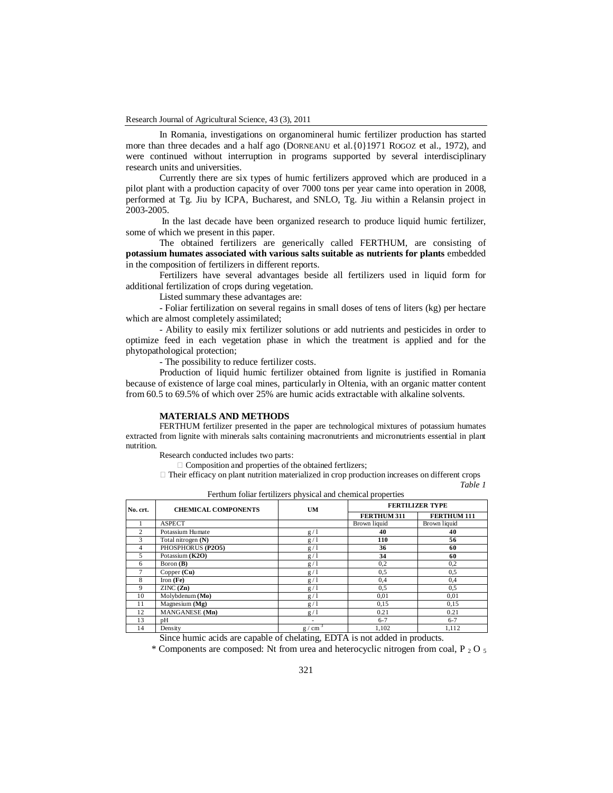In Romania, investigations on organomineral humic fertilizer production has started more than three decades and a half ago (DORNEANU et al.{0}1971 ROGOZ et al., 1972), and were continued without interruption in programs supported by several interdisciplinary research units and universities.

Currently there are six types of humic fertilizers approved which are produced in a pilot plant with a production capacity of over 7000 tons per year came into operation in 2008, performed at Tg. Jiu by ICPA, Bucharest, and SNLO, Tg. Jiu within a Relansin project in  $2003 - 2005$ .

In the last decade have been organized research to produce liquid humic fertilizer, some of which we present in this paper.

The obtained fertilizers are generically called FERTHUM, are consisting of **potassium humates associated with various salts suitable as nutrients for plants** embedded in the composition of fertilizers in different reports.

Fertilizers have several advantages beside all fertilizers used in liquid form for additional fertilization of crops during vegetation.

Listed summary these advantages are:

- Foliar fertilization on several regains in small doses of tens of liters (kg) per hectare which are almost completely assimilated;

- Ability to easily mix fertilizer solutions or add nutrients and pesticides in order to optimize feed in each vegetation phase in which the treatment is applied and for the phytopathological protection;

- The possibility to reduce fertilizer costs.

Production of liquid humic fertilizer obtained from lignite is justified in Romania because of existence of large coal mines, particularly in Oltenia, with an organic matter content from 60.5 to 69.5% of which over 25% are humic acids extractable with alkaline solvents.

# **MATERIALS AND METHODS**

FERTHUM fertilizer presented in the paper are technological mixtures of potassium humates extracted from lignite with minerals salts containing macronutrients and micronutrients essential in plant nutrition.

Research conducted includes two parts:

 $\Box$  Composition and properties of the obtained fertlizers;

 $\Box$  Their efficacy on plant nutrition materialized in crop production increases on different crops *Table 1*

| No. crt. | <b>CHEMICAL COMPONENTS</b> | <b>UM</b> |                    | <b>FERTILIZER TYPE</b> |  |  |  |
|----------|----------------------------|-----------|--------------------|------------------------|--|--|--|
|          |                            |           | <b>FERTHUM 311</b> | FERTHUM 111            |  |  |  |
|          | <b>ASPECT</b>              |           | Brown liquid       | Brown liquid           |  |  |  |
| 2        | Potassium Humate           | g/1       | 40                 | 40                     |  |  |  |
| 3        | Total nitrogen (N)         | g/1       | 110                | 56                     |  |  |  |
| 4        | PHOSPHORUS (P2O5)          | g/1       | 36                 | 60                     |  |  |  |
| 5.       | Potassium (K2O)            | g/1       | 34                 | 60                     |  |  |  |
| 6        | Boron $(B)$                | g/1       | 0,2                | 0,2                    |  |  |  |
|          | Copper $(Cu)$              | g/1       | 0,5                | 0,5                    |  |  |  |
| 8        | Iron $(Fe)$                | g/1       | 0,4                | 0,4                    |  |  |  |
| 9        | ZINC (Zn)                  | g/1       | 0,5                | 0,5                    |  |  |  |
| 10       | Molybdenum(Mo)             | g/1       | 0,01               | 0,01                   |  |  |  |
| 11       | Magnesium $(Mg)$           | g/1       | 0,15               | 0,15                   |  |  |  |
| 12       | MANGANESE (Mn)             | g/1       | 0.21               | 0.21                   |  |  |  |
| 13       | pH                         | ۰         | $6 - 7$            | $6 - 7$                |  |  |  |
| 14       | Density                    | g/cm      | 1,102              | 1.112                  |  |  |  |

Ferthum foliar fertilizers physical and chemical properties

Since humic acids are capable of chelating, EDTA is not added in products.

 $*$  Components are composed: Nt from urea and heterocyclic nitrogen from coal, P  $_2$  O  $_5$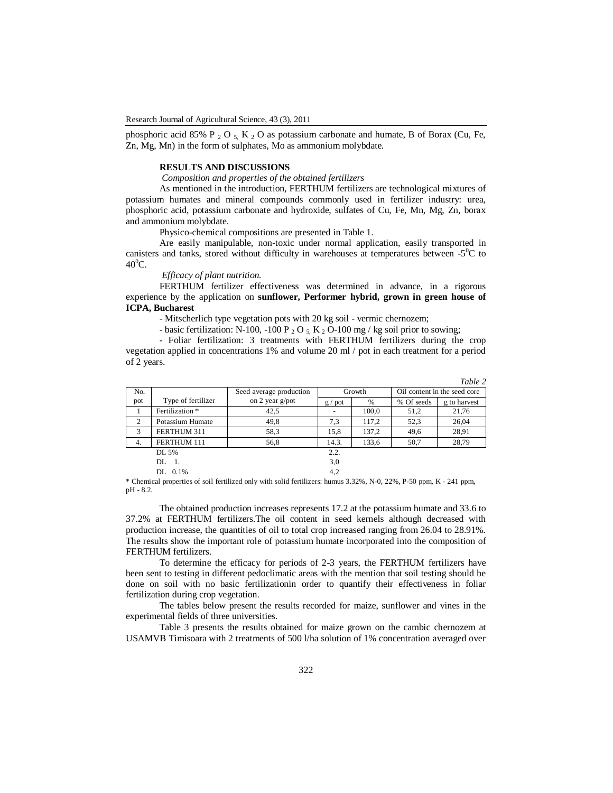phosphoric acid 85% P  $_2$  O  $_5$  K  $_2$  O as potassium carbonate and humate, B of Borax (Cu, Fe, Zn, Mg, Mn) in the form of sulphates, Mo as ammonium molybdate.

## **RESULTS AND DISCUSSIONS**

*Composition and properties of the obtained fertilizers*

As mentioned in the introduction, FERTHUM fertilizers are technological mixtures of potassium humates and mineral compounds commonly used in fertilizer industry: urea, phosphoric acid, potassium carbonate and hydroxide, sulfates of Cu, Fe, Mn, Mg, Zn, borax and ammonium molybdate.

Physico-chemical compositions are presented in Table 1.

Are easily manipulable, non-toxic under normal application, easily transported in canisters and tanks, stored without difficulty in warehouses at temperatures between  $-5^0C$  to  $40^0C$ .

*Efficacy of plant nutrition.*

FERTHUM fertilizer effectiveness was determined in advance, in a rigorous experience by the application on **sunflower, Performer hybrid, grown in green house of ICPA, Bucharest**

- Mitscherlich type vegetation pots with 20 kg soil - vermic chernozem;

- basic fertilization: N-100, -100 P  $_2$  O  $_5$  K  $_2$  O-100 mg / kg soil prior to sowing;

- Foliar fertilization: 3 treatments with FERTHUM fertilizers during the crop vegetation applied in concentrations 1% and volume 20 ml / pot in each treatment for a period of 2 years.

|     |                         |                    |         |        |                              | Table 2      |  |
|-----|-------------------------|--------------------|---------|--------|------------------------------|--------------|--|
| No. | Seed average production |                    |         | Growth | Oil content in the seed core |              |  |
| pot | Type of fertilizer      | on 2 year $g$ /pot | g / pot | $\%$   | % Of seeds                   | g to harvest |  |
|     | Fertilization *         | 42.5               |         | 100,0  | 51,2                         | 21,76        |  |
| 2   | Potassium Humate        | 49,8               | 7,3     | 117,2  | 52,3                         | 26,04        |  |
| 3   | FERTHUM 311             | 58,3               | 15,8    | 137,2  | 49,6                         | 28,91        |  |
| 4.  | FERTHUM 111             | 56.8               | 14.3.   | 133,6  | 50,7                         | 28,79        |  |
|     | DL 5%                   |                    | 2.2.    |        |                              |              |  |
|     | DL 1.                   |                    | 3,0     |        |                              |              |  |
|     | DL 0.1%                 |                    | 4,2     |        |                              |              |  |

\* Chemical properties of soil fertilized only with solid fertilizers: humus 3.32%, N-0, 22%, P-50 ppm, K - 241 ppm, pH - 8.2.

The obtained production increases represents 17.2 at the potassium humate and 33.6 to 37.2% at FERTHUM fertilizers.The oil content in seed kernels although decreased with production increase, the quantities of oil to total crop increased ranging from 26.04 to 28.91%. The results show the important role of potassium humate incorporated into the composition of FERTHUM fertilizers.

To determine the efficacy for periods of 2-3 years, the FERTHUM fertilizers have been sent to testing in different pedoclimatic areas with the mention that soil testing should be done on soil with no basic fertilizationin order to quantify their effectiveness in foliar fertilization during crop vegetation.

The tables below present the results recorded for maize, sunflower and vines in the experimental fields of three universities.

Table 3 presents the results obtained for maize grown on the cambic chernozem at USAMVB Timisoara with 2 treatments of 500 l/ha solution of 1% concentration averaged over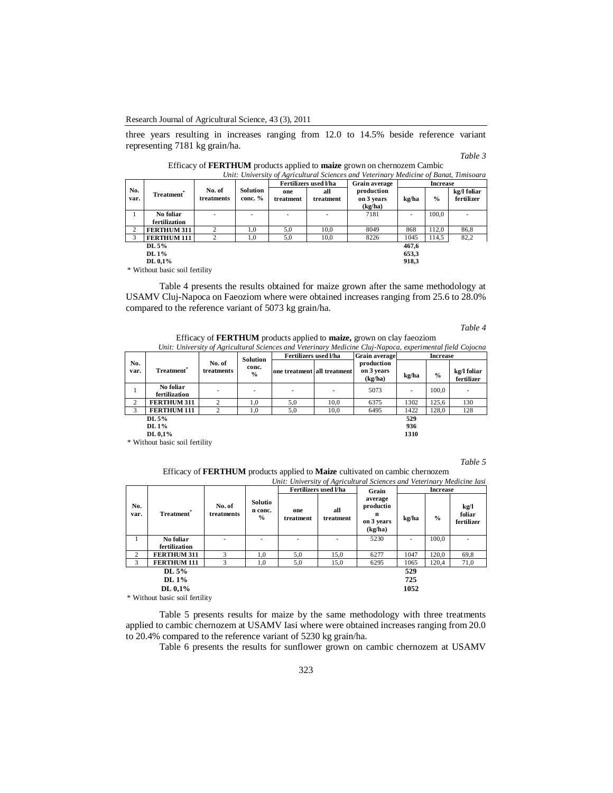three years resulting in increases ranging from 12.0 to 14.5% beside reference variant representing 7181 kg grain/ha.

## *Table 3*

|               |                    |                      |                     |                  | Fertilizers used l/ha | <b>Grain average</b>                | <b>Increase</b> |               |                           |
|---------------|--------------------|----------------------|---------------------|------------------|-----------------------|-------------------------------------|-----------------|---------------|---------------------------|
| No.<br>var.   | <b>Treatment</b> ® | No. of<br>treatments | Solution<br>conc. % | one<br>treatment | all<br>treatment      | production<br>on 3 years<br>(kg/ha) | kg/ha           | $\frac{0}{0}$ | kg/l foliar<br>fertilizer |
| ı.            | No foliar          |                      | ٠                   |                  | ٠                     | 7181                                | ۰.              | 100.0         |                           |
|               | fertilization      |                      |                     |                  |                       |                                     |                 |               |                           |
| 2             | <b>FERTHUM 311</b> | 2                    | 1,0                 | 5,0              | 10.0                  | 8049                                | 868             | 112,0         | 86,8                      |
| $\mathcal{R}$ | <b>FERTHUM 111</b> | $\bigcirc$           | 1,0                 | 5,0              | 10,0                  | 8226                                | 1045            | 114,5         | 82,2                      |
|               | DL 5%              |                      |                     |                  |                       |                                     | 467,6           |               |                           |
|               | DL 1%              |                      |                     |                  |                       |                                     | 653,3           |               |                           |
|               | DL $0.1\%$         |                      |                     |                  |                       |                                     | 918,3           |               |                           |

Efficacy of **FERTHUM** products applied to **maize** grown on chernozem Cambic *Unit: University of Agricultural Sciences and Veterinary Medicine of Banat, Timisoara*

\* Without basic soil fertility

Table 4 presents the results obtained for maize grown after the same methodology at USAMV Cluj-Napoca on Faeoziom where were obtained increases ranging from 25.6 to 28.0% compared to the reference variant of 5073 kg grain/ha.

#### *Table 4*

Efficacy of **FERTHUM** products applied to **maize,** grown on clay faeoziom *Unit: University of Agricultural Sciences and Veterinary Medicine Cluj-Napoca, experimental field Cojocna*

| No.<br>var.  | Treatment <sup>*</sup>         | No. of<br>treatments | <b>Solution</b><br>conc.<br>$\frac{0}{0}$ | Fertilizers used l/ha       |      | Grain average                       | <b>Increase</b> |               |                           |  |
|--------------|--------------------------------|----------------------|-------------------------------------------|-----------------------------|------|-------------------------------------|-----------------|---------------|---------------------------|--|
|              |                                |                      |                                           | one treatment all treatment |      | production<br>on 3 years<br>(kg/ha) | kg/ha           | $\frac{0}{0}$ | kg/l foliar<br>fertilizer |  |
|              | No foliar<br>fertilization     |                      |                                           |                             | ۰    | 5073                                | ۰               | 100.0         |                           |  |
| 2            | <b>FERTHUM 311</b>             | ◠                    | 1.0                                       | 5,0                         | 10,0 | 6375                                | 1302            | 125,6         | 130                       |  |
| $\mathbf{3}$ | <b>FERTHUM 111</b>             | $\mathfrak{D}$       | 1.0                                       | 5,0                         | 10,0 | 6495                                | 1422            | 128.0         | 128                       |  |
|              | DL 5%                          |                      |                                           |                             |      |                                     | 529             |               |                           |  |
|              | DL 1%<br>936                   |                      |                                           |                             |      |                                     |                 |               |                           |  |
|              | DL 0,1%<br>1310                |                      |                                           |                             |      |                                     |                 |               |                           |  |
|              | * Without basic soil fertility |                      |                                           |                             |      |                                     |                 |               |                           |  |

## *Table 5*

Efficacy of **FERTHUM** products applied to **Maize** cultivated on cambic chernozem *Unit: University of Agricultural Sciences and Veterinary Medicine Iasi*

|             |                                                                                                                                                                                                                                                                                                                                                                                                                                                              | No. of<br>treatments | Solutio<br>n conc.<br>$\frac{0}{0}$ |                  | Fertilizers used Vha |                                                    |       | <b>Increase</b> |                              |  |
|-------------|--------------------------------------------------------------------------------------------------------------------------------------------------------------------------------------------------------------------------------------------------------------------------------------------------------------------------------------------------------------------------------------------------------------------------------------------------------------|----------------------|-------------------------------------|------------------|----------------------|----------------------------------------------------|-------|-----------------|------------------------------|--|
| No.<br>var. | Treatment <sup>*</sup>                                                                                                                                                                                                                                                                                                                                                                                                                                       |                      |                                     | one<br>treatment | all<br>treatment     | average<br>productio<br>n<br>on 3 years<br>(kg/ha) | kg/ha | $\frac{0}{0}$   | kg/l<br>foliar<br>fertilizer |  |
| 1           | No foliar                                                                                                                                                                                                                                                                                                                                                                                                                                                    |                      | ۰                                   |                  | ۰                    | 5230                                               |       | 100.0           |                              |  |
|             | fertilization                                                                                                                                                                                                                                                                                                                                                                                                                                                |                      |                                     |                  |                      |                                                    |       |                 |                              |  |
| 2           | <b>FERTHUM 311</b>                                                                                                                                                                                                                                                                                                                                                                                                                                           | 3                    | 1,0                                 | 5,0              | 15,0                 | 6277                                               | 1047  | 120,0           | 69,8                         |  |
| 3           | <b>FERTHUM 111</b>                                                                                                                                                                                                                                                                                                                                                                                                                                           | 3                    | 1,0                                 | 5,0              | 15,0                 | 6295                                               | 1065  | 120,4           | 71,0                         |  |
|             | DL 5%                                                                                                                                                                                                                                                                                                                                                                                                                                                        |                      |                                     |                  |                      |                                                    | 529   |                 |                              |  |
|             | DL 1%                                                                                                                                                                                                                                                                                                                                                                                                                                                        |                      |                                     |                  |                      |                                                    | 725   |                 |                              |  |
|             | DL 0,1%                                                                                                                                                                                                                                                                                                                                                                                                                                                      |                      |                                     |                  |                      |                                                    | 1052  |                 |                              |  |
|             | $\mathcal{A} = \mathcal{A} + \mathcal{A} + \mathcal{A} + \mathcal{A} + \mathcal{A} + \mathcal{A} + \mathcal{A} + \mathcal{A} + \mathcal{A} + \mathcal{A} + \mathcal{A} + \mathcal{A} + \mathcal{A} + \mathcal{A} + \mathcal{A} + \mathcal{A} + \mathcal{A} + \mathcal{A} + \mathcal{A} + \mathcal{A} + \mathcal{A} + \mathcal{A} + \mathcal{A} + \mathcal{A} + \mathcal{A} + \mathcal{A} + \mathcal{A} + \mathcal{A} + \mathcal{A} + \mathcal{A} + \mathcal$ |                      |                                     |                  |                      |                                                    |       |                 |                              |  |

\* Without basic soil fertility

Table 5 presents results for maize by the same methodology with three treatments applied to cambic chernozem at USAMV Iasi where were obtained increases ranging from 20.0 to 20.4% compared to the reference variant of 5230 kg grain/ha.

Table 6 presents the results for sunflower grown on cambic chernozem at USAMV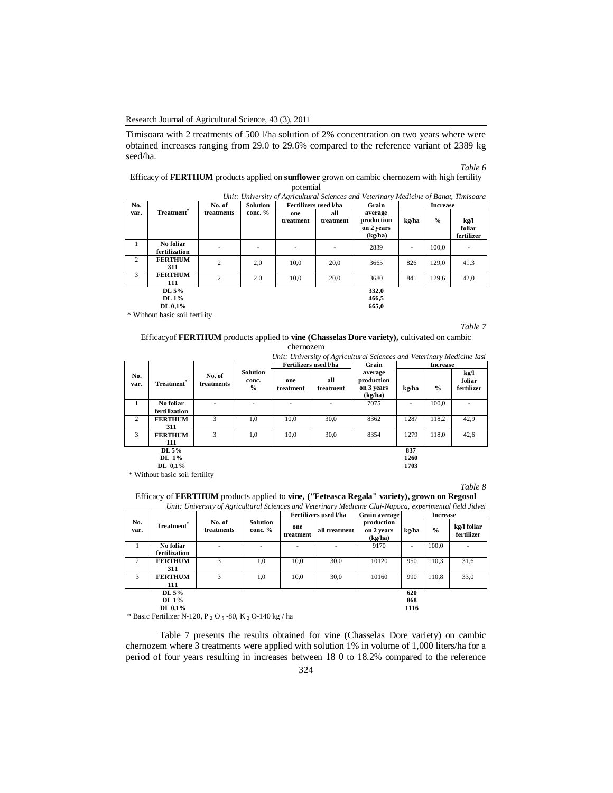Timisoara with 2 treatments of 500 l/ha solution of 2% concentration on two years where were obtained increases ranging from 29.0 to 29.6% compared to the reference variant of 2389 kg seed/ha.

# *Table 6*

| Efficacy of FERTHUM products applied on sunflower grown on cambic chernozem with high fertility |  |
|-------------------------------------------------------------------------------------------------|--|
| potential                                                                                       |  |

|      |                            |                |                 |                      |                  | Unit: University of Agricultural Sciences and Veterinary Medicine of Banat, Timisoara |       |                 |                              |  |
|------|----------------------------|----------------|-----------------|----------------------|------------------|---------------------------------------------------------------------------------------|-------|-----------------|------------------------------|--|
| No.  |                            | No. of         | <b>Solution</b> | Fertilizers used Vha |                  | Grain                                                                                 |       | <b>Increase</b> |                              |  |
| var. | Treatment <sup>®</sup>     | treatments     | conc. $%$       | one<br>treatment     | all<br>treatment | average<br>production<br>on 2 years<br>(kg/ha)                                        | kg/ha | $\frac{0}{0}$   | kg/l<br>foliar<br>fertilizer |  |
|      | No foliar<br>fertilization |                |                 | ۰.                   |                  | 2839                                                                                  | ٠     | 100.0           |                              |  |
| 2    | <b>FERTHUM</b><br>311      | $\overline{c}$ | 2,0             | 10,0                 | 20.0             | 3665                                                                                  | 826   | 129,0           | 41,3                         |  |
| 3    | <b>FERTHUM</b><br>111      | 2              | 2,0             | 10.0                 | 20.0             | 3680                                                                                  | 841   | 129.6           | 42,0                         |  |
|      | DL 5%                      |                |                 |                      |                  | 332,0                                                                                 |       |                 |                              |  |
|      | DL 1%                      |                |                 |                      |                  | 466.5                                                                                 |       |                 |                              |  |

**DL 0,1% 665,0** \* Without basic soil fertility

*Table 7*

Efficacyof **FERTHUM** products applied to **vine (Chasselas Dore variety),** cultivated on cambic chernozem

|                |                  |                      |                                           |                  |                      | Unit: University of Agricultural Sciences and Veterinary Medicine Iasi |                 |               |                              |
|----------------|------------------|----------------------|-------------------------------------------|------------------|----------------------|------------------------------------------------------------------------|-----------------|---------------|------------------------------|
|                |                  |                      |                                           |                  | Fertilizers used Vha | Grain                                                                  | <b>Increase</b> |               |                              |
| No.<br>var.    | <b>Treatment</b> | No. of<br>treatments | <b>Solution</b><br>conc.<br>$\frac{0}{2}$ | one<br>treatment | all<br>treatment     | average<br>production<br>on 3 years<br>(kg/ha)                         | kg/ha           | $\frac{0}{0}$ | kg/l<br>foliar<br>fertilizer |
| $\mathbf{1}$   | No foliar        |                      |                                           |                  |                      | 7075                                                                   |                 | 100.0         |                              |
|                | fertilization    |                      |                                           |                  |                      |                                                                        |                 |               |                              |
| $\overline{2}$ | <b>FERTHUM</b>   | $\mathbf{3}$         | 1.0                                       | 10.0             | 30.0                 | 8362                                                                   | 1287            | 118.2         | 42.9                         |
|                | 311              |                      |                                           |                  |                      |                                                                        |                 |               |                              |
| 3              | <b>FERTHUM</b>   | $\mathcal{L}$        | 1.0                                       | 10.0             | 30.0                 | 8354                                                                   | 1279            | 118.0         | 42,6                         |
|                | 111              |                      |                                           |                  |                      |                                                                        |                 |               |                              |
|                | DL $5\%$         |                      |                                           |                  |                      |                                                                        | 837             |               |                              |
|                | DL 1%            |                      |                                           |                  |                      |                                                                        | 1260            |               |                              |
|                | DL 0,1%          |                      |                                           |                  |                      |                                                                        | 1703            |               |                              |

\* Without basic soil fertility

 *Table 8*

| Efficacy of FERTHUM products applied to vine, ("Feteasca Regala" variety), grown on Regosol                                                                                                                                                                                                                   |  |  |  |  |
|---------------------------------------------------------------------------------------------------------------------------------------------------------------------------------------------------------------------------------------------------------------------------------------------------------------|--|--|--|--|
| $H_{1},\ldots,H_{n},\ldots,\ldots,\ell$ , $\ell$ , $\ldots$ , $\ell$ , $\ldots$ , $\ell$ , $\ldots$ , $\ldots$ , $\ell$ , $\ell$ , $\ldots$ , $\ell$ , $\ell$ , $\ell$ , $\ell$ , $\ell$ , $\ell$ , $\ell$ , $\ell$ , $\ell$ , $\ell$ , $\ell$ , $\ell$ , $\ell$ , $\ell$ , $\ell$ , $\ell$ , $\ell$ , $\ell$ |  |  |  |  |

|              | Unit: University of Agricultural Sciences and Veterinary Medicine Cluj-Napoca, experimental field Jidvei |                      |                            |                  |                       |                                     |                 |               |                           |  |  |
|--------------|----------------------------------------------------------------------------------------------------------|----------------------|----------------------------|------------------|-----------------------|-------------------------------------|-----------------|---------------|---------------------------|--|--|
|              |                                                                                                          | No. of<br>treatments | <b>Solution</b><br>conc. % |                  | Fertilizers used l/ha | Grain average                       | <b>Increase</b> |               |                           |  |  |
| No.<br>var.  | Treatment®                                                                                               |                      |                            | one<br>treatment | all treatment         | production<br>on 2 years<br>(kg/ha) | kg/ha           | $\frac{0}{0}$ | kg/l foliar<br>fertilizer |  |  |
|              | No foliar                                                                                                |                      |                            |                  |                       | 9170                                |                 | 100.0         |                           |  |  |
|              | fertilization                                                                                            |                      |                            |                  |                       |                                     |                 |               |                           |  |  |
| 2            | <b>FERTHUM</b>                                                                                           |                      | 1,0                        | 10,0             | 30,0                  | 10120                               | 950             | 110.3         | 31,6                      |  |  |
|              | 311                                                                                                      |                      |                            |                  |                       |                                     |                 |               |                           |  |  |
| $\mathbf{3}$ | <b>FERTHUM</b>                                                                                           |                      | 1.0                        | 10.0             | 30.0                  | 10160                               | 990             | 110.8         | 33.0                      |  |  |
|              | 111                                                                                                      |                      |                            |                  |                       |                                     |                 |               |                           |  |  |
|              | DL $5\%$                                                                                                 |                      |                            |                  |                       |                                     | 620             |               |                           |  |  |
|              | DL 1%                                                                                                    |                      |                            |                  |                       |                                     | 868             |               |                           |  |  |
|              | DL $0.1\%$                                                                                               |                      |                            |                  |                       |                                     | 1116            |               |                           |  |  |

\* Basic Fertilizer N-120, P <sup>2</sup> O <sup>5</sup> -80, K <sup>2</sup> O-140 kg / ha

Table 7 presents the results obtained for vine (Chasselas Dore variety) on cambic chernozem where 3 treatments were applied with solution 1% in volume of 1,000 liters/ha for a period of four years resulting in increases between 18 0 to 18.2% compared to the reference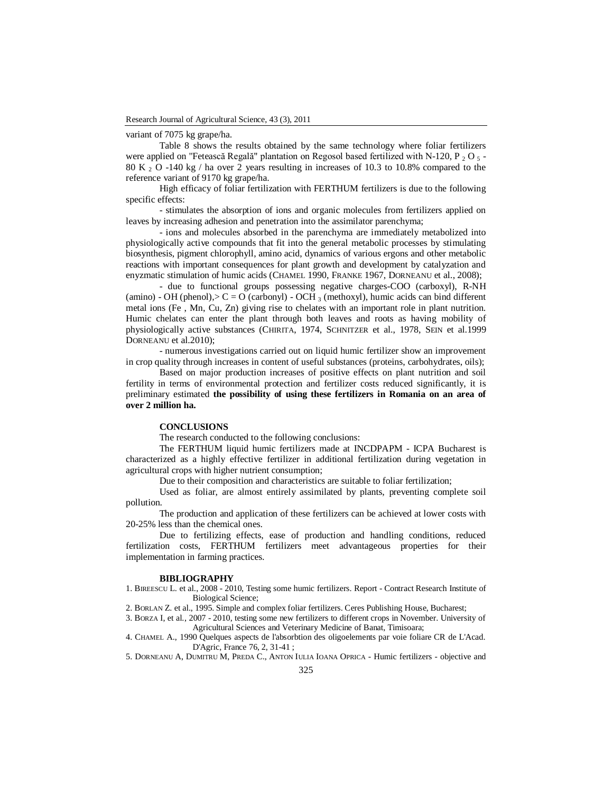## variant of 7075 kg grape/ha.

Table 8 shows the results obtained by the same technology where foliar fertilizers were applied on "Fetească Regală" plantation on Regosol based fertilized with N-120, P  $_2$  O  $_5$  -80 K  $_2$  O -140 kg / ha over 2 years resulting in increases of 10.3 to 10.8% compared to the reference variant of 9170 kg grape/ha.

High efficacy of foliar fertilization with FERTHUM fertilizers is due to the following specific effects:

- stimulates the absorption of ions and organic molecules from fertilizers applied on leaves by increasing adhesion and penetration into the assimilator parenchyma;

- ions and molecules absorbed in the parenchyma are immediately metabolized into physiologically active compounds that fit into the general metabolic processes by stimulating biosynthesis, pigment chlorophyll, amino acid, dynamics of various ergons and other metabolic reactions with important consequences for plant growth and development by catalyzation and enyzmatic stimulation of humic acids (CHAMEL 1990, FRANKE 1967, DORNEANU et al., 2008);

- due to functional groups possessing negative charges-COO (carboxyl), R-NH (amino) - OH (phenol), $> C = O$  (carbonyl) - OCH 3 (methoxyl), humic acids can bind different metal ions (Fe , Mn, Cu, Zn) giving rise to chelates with an important role in plant nutrition. Humic chelates can enter the plant through both leaves and roots as having mobility of physiologically active substances (CHIRITA, 1974, SCHNITZER et al., 1978, SEIN et al.1999 DORNEANU et al.2010);

- numerous investigations carried out on liquid humic fertilizer show an improvement in crop quality through increases in content of useful substances (proteins, carbohydrates, oils);

Based on major production increases of positive effects on plant nutrition and soil fertility in terms of environmental protection and fertilizer costs reduced significantly, it is preliminary estimated **the possibility of using these fertilizers in Romania on an area of over 2 million ha.**

## **CONCLUSIONS**

The research conducted to the following conclusions:

The FERTHUM liquid humic fertilizers made at INCDPAPM - ICPA Bucharest is characterized as a highly effective fertilizer in additional fertilization during vegetation in agricultural crops with higher nutrient consumption;

Due to their composition and characteristics are suitable to foliar fertilization;

Used as foliar, are almost entirely assimilated by plants, preventing complete soil pollution.

The production and application of these fertilizers can be achieved at lower costs with 20-25% less than the chemical ones.

Due to fertilizing effects, ease of production and handling conditions, reduced fertilization costs, FERTHUM fertilizers meet advantageous properties for their implementation in farming practices.

### **BIBLIOGRAPHY**

1. BIREESCU L. et al., 2008 - 2010, Testing some humic fertilizers. Report - Contract Research Institute of Biological Science;

2. BORLAN Z. et al., 1995. Simple and complex foliar fertilizers. Ceres Publishing House, Bucharest;

3. BORZA I, et al., 2007 - 2010, testing some new fertilizers to different crops in November. University of Agricultural Sciences and Veterinary Medicine of Banat, Timisoara;

4. CHAMEL A., 1990 Quelques aspects de l'absorbtion des oligoelements par voie foliare CR de L'Acad. D'Agric, France 76, 2, 31-41 ;

5. DORNEANU A, DUMITRU M, PREDA C., ANTON IULIA IOANA OPRICA - Humic fertilizers - objective and